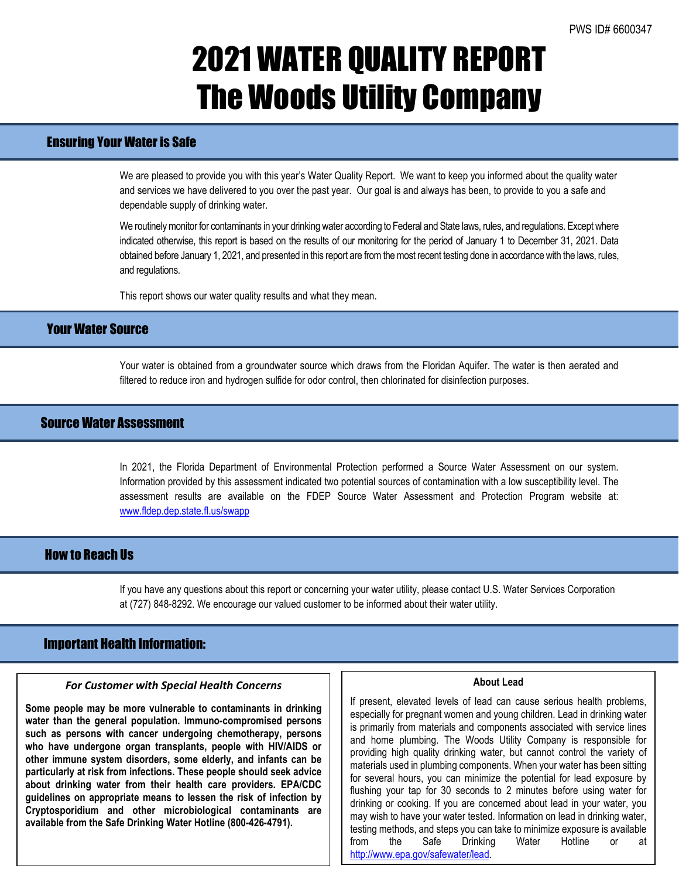## 2021 WATER QUALITY REPORT The Woods Utility Company

## Ensuring Your Water is Safe

We are pleased to provide you with this year's Water Quality Report. We want to keep you informed about the quality water and services we have delivered to you over the past year. Our goal is and always has been, to provide to you a safe and dependable supply of drinking water.

We routinely monitor for contaminants in your drinking water according to Federal and State laws, rules, and regulations. Except where indicated otherwise, this report is based on the results of our monitoring for the period of January 1 to December 31, 2021. Data obtained before January 1, 2021, and presented in this report are from the most recent testing done in accordance with the laws, rules, and regulations.

This report shows our water quality results and what they mean.

### Your Water Source

Your water is obtained from a groundwater source which draws from the Floridan Aquifer. The water is then aerated and filtered to reduce iron and hydrogen sulfide for odor control, then chlorinated for disinfection purposes.

### Source Water Assessment

In 2021, the Florida Department of Environmental Protection performed a Source Water Assessment on our system. Information provided by this assessment indicated two potential sources of contamination with a low susceptibility level. The assessment results are available on the FDEP Source Water Assessment and Protection Program website at: [www.fldep.dep.state.fl.us/swapp](http://www.dep.state.fl.us/swapp)

## How to Reach Us

If you have any questions about this report or concerning your water utility, please contact U.S. Water Services Corporation at (727) 848-8292. We encourage our valued customer to be informed about their water utility.

### Important Health Information:

l

### *For Customer with Special Health Concerns*

**Some people may be more vulnerable to contaminants in drinking water than the general population. Immuno-compromised persons such as persons with cancer undergoing chemotherapy, persons who have undergone organ transplants, people with HIV/AIDS or other immune system disorders, some elderly, and infants can be particularly at risk from infections. These people should seek advice about drinking water from their health care providers. EPA/CDC guidelines on appropriate means to lessen the risk of infection by Cryptosporidium and other microbiological contaminants are available from the Safe Drinking Water Hotline (800-426-4791).**

#### **About Lead**

If present, elevated levels of lead can cause serious health problems, especially for pregnant women and young children. Lead in drinking water is primarily from materials and components associated with service lines and home plumbing. The Woods Utility Company is responsible for providing high quality drinking water, but cannot control the variety of materials used in plumbing components. When your water has been sitting for several hours, you can minimize the potential for lead exposure by flushing your tap for 30 seconds to 2 minutes before using water for drinking or cooking. If you are concerned about lead in your water, you may wish to have your water tested. Information on lead in drinking water, testing methods, and steps you can take to minimize exposure is available from the Safe Drinking Water Hotline or at [http://www.epa.gov/safewater/lead.](http://www.epa.gov/safewater/lead)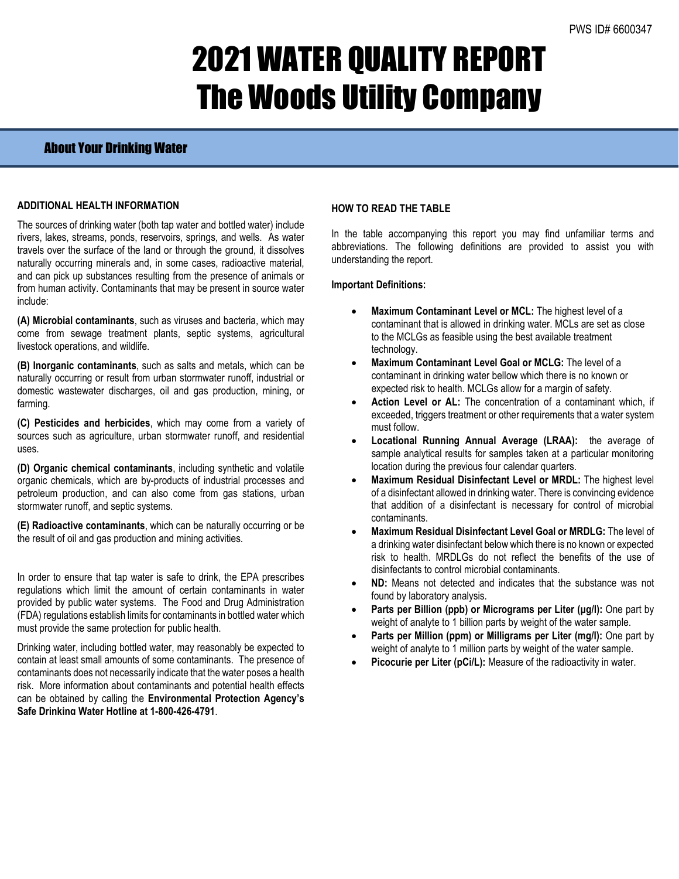# 2021 WATER QUALITY REPORT The Woods Utility Company

### About Your Drinking Water

### **ADDITIONAL HEALTH INFORMATION**

The sources of drinking water (both tap water and bottled water) include rivers, lakes, streams, ponds, reservoirs, springs, and wells. As water travels over the surface of the land or through the ground, it dissolves naturally occurring minerals and, in some cases, radioactive material, and can pick up substances resulting from the presence of animals or from human activity. Contaminants that may be present in source water include:

**(A) Microbial contaminants**, such as viruses and bacteria, which may come from sewage treatment plants, septic systems, agricultural livestock operations, and wildlife.

**(B) Inorganic contaminants**, such as salts and metals, which can be naturally occurring or result from urban stormwater runoff, industrial or domestic wastewater discharges, oil and gas production, mining, or farming.

**(C) Pesticides and herbicides**, which may come from a variety of sources such as agriculture, urban stormwater runoff, and residential uses.

**(D) Organic chemical contaminants**, including synthetic and volatile organic chemicals, which are by-products of industrial processes and petroleum production, and can also come from gas stations, urban stormwater runoff, and septic systems.

**(E) Radioactive contaminants**, which can be naturally occurring or be the result of oil and gas production and mining activities.

In order to ensure that tap water is safe to drink, the EPA prescribes regulations which limit the amount of certain contaminants in water provided by public water systems. The Food and Drug Administration (FDA) regulations establish limits for contaminants in bottled water which must provide the same protection for public health.

Drinking water, including bottled water, may reasonably be expected to contain at least small amounts of some contaminants. The presence of contaminants does not necessarily indicate that the water poses a health risk. More information about contaminants and potential health effects can be obtained by calling the **Environmental Protection Agency's Safe Drinking Water Hotline at 1-800-426-4791**.

### **HOW TO READ THE TABLE**

In the table accompanying this report you may find unfamiliar terms and abbreviations. The following definitions are provided to assist you with understanding the report.

### **Important Definitions:**

- **Maximum Contaminant Level or MCL:** The highest level of a contaminant that is allowed in drinking water. MCLs are set as close to the MCLGs as feasible using the best available treatment technology.
- **Maximum Contaminant Level Goal or MCLG:** The level of a contaminant in drinking water bellow which there is no known or expected risk to health. MCLGs allow for a margin of safety.
- Action Level or AL: The concentration of a contaminant which, if exceeded, triggers treatment or other requirements that a water system must follow.
- **Locational Running Annual Average (LRAA):** the average of sample analytical results for samples taken at a particular monitoring location during the previous four calendar quarters.
- **Maximum Residual Disinfectant Level or MRDL:** The highest level of a disinfectant allowed in drinking water. There is convincing evidence that addition of a disinfectant is necessary for control of microbial contaminants.
- **Maximum Residual Disinfectant Level Goal or MRDLG:** The level of a drinking water disinfectant below which there is no known or expected risk to health. MRDLGs do not reflect the benefits of the use of disinfectants to control microbial contaminants.
- **ND:** Means not detected and indicates that the substance was not found by laboratory analysis.
- **Parts per Billion (ppb) or Micrograms per Liter (μg/l):** One part by weight of analyte to 1 billion parts by weight of the water sample.
- **Parts per Million (ppm) or Milligrams per Liter (mg/l):** One part by weight of analyte to 1 million parts by weight of the water sample.
- Picocurie per Liter (pCi/L): Measure of the radioactivity in water.